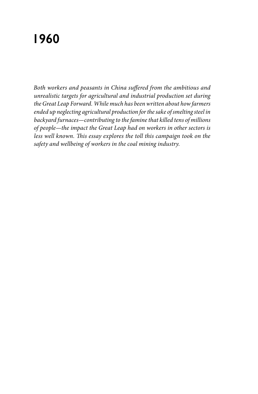# **1960**

*Both workers and peasants in China suffered from the ambitious and unrealistic targets for agricultural and industrial production set during the Great Leap Forward. While much has been written about how farmers ended up neglecting agricultural production for the sake of smelting steel in backyard furnaces—contributing to the famine that killed tens of millions of people—the impact the Great Leap had on workers in other sectors is less well known. This essay explores the toll this campaign took on the safety and wellbeing of workers in the coal mining industry.*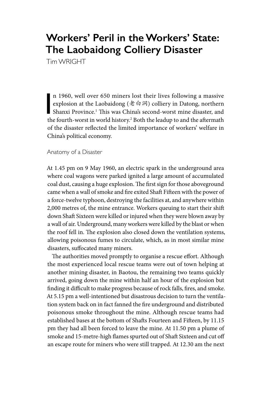## **Workers' Peril in the Workers' State: The Laobaidong Colliery Disaster**

Tim WRIGHT

n 1960, well over 650 miners lost their lives following a massive<br>explosion at the Laobaidong ( $\not\equiv \exists \exists$ ) colliery in Datong, northern<br>Shanxi Province.<sup>1</sup> This was China's second-worst mine disaster, and<br>the fourth worst n 1960, well over 650 miners lost their lives following a massive explosion at the Laobaidong (老白洞) colliery in Datong, northern the fourth-worst in world history.<sup>2</sup> Both the leadup to and the aftermath of the disaster reflected the limited importance of workers' welfare in China's political economy.

#### Anatomy of a Disaster

At 1.45 pm on 9 May 1960, an electric spark in the underground area where coal wagons were parked ignited a large amount of accumulated coal dust, causing a huge explosion. The first sign for those aboveground came when a wall of smoke and fire exited Shaft Fifteen with the power of a force-twelve typhoon, destroying the facilities at, and anywhere within 2,000 metres of, the mine entrance. Workers queuing to start their shift down Shaft Sixteen were killed or injured when they were blown away by a wall of air. Underground, many workers were killed by the blast or when the roof fell in. The explosion also closed down the ventilation systems, allowing poisonous fumes to circulate, which, as in most similar mine disasters, suffocated many miners.

The authorities moved promptly to organise a rescue effort. Although the most experienced local rescue teams were out of town helping at another mining disaster, in Baotou, the remaining two teams quickly arrived, going down the mine within half an hour of the explosion but finding it difficult to make progress because of rock falls, fires, and smoke. At 5.15 pm a well-intentioned but disastrous decision to turn the ventilation system back on in fact fanned the fire underground and distributed poisonous smoke throughout the mine. Although rescue teams had established bases at the bottom of Shafts Fourteen and Fifteen, by 11.15 pm they had all been forced to leave the mine. At 11.50 pm a plume of smoke and 15-metre-high flames spurted out of Shaft Sixteen and cut off an escape route for miners who were still trapped. At 12.30 am the next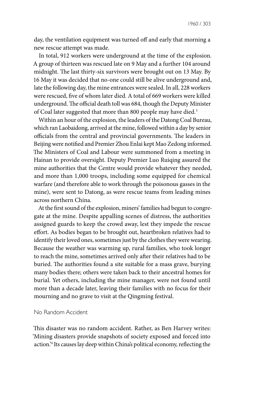day, the ventilation equipment was turned off and early that morning a new rescue attempt was made.

In total, 912 workers were underground at the time of the explosion. A group of thirteen was rescued late on 9 May and a further 104 around midnight. The last thirty-six survivors were brought out on 13 May. By 16 May it was decided that no-one could still be alive underground and, late the following day, the mine entrances were sealed. In all, 228 workers were rescued, five of whom later died. A total of 669 workers were killed underground. The official death toll was 684, though the Deputy Minister of Coal later suggested that more than 800 people may have died.<sup>3</sup>

Within an hour of the explosion, the leaders of the Datong Coal Bureau, which ran Laobaidong, arrived at the mine, followed within a day by senior officials from the central and provincial governments. The leaders in Beijing were notified and Premier Zhou Enlai kept Mao Zedong informed. The Ministers of Coal and Labour were summoned from a meeting in Hainan to provide oversight. Deputy Premier Luo Ruiqing assured the mine authorities that the Centre would provide whatever they needed, and more than 1,000 troops, including some equipped for chemical warfare (and therefore able to work through the poisonous gasses in the mine), were sent to Datong, as were rescue teams from leading mines across northern China.

At the first sound of the explosion, miners' families had begun to congregate at the mine. Despite appalling scenes of distress, the authorities assigned guards to keep the crowd away, lest they impede the rescue effort. As bodies began to be brought out, heartbroken relatives had to identify their loved ones, sometimes just by the clothes they were wearing. Because the weather was warming up, rural families, who took longer to reach the mine, sometimes arrived only after their relatives had to be buried. The authorities found a site suitable for a mass grave, burying many bodies there; others were taken back to their ancestral homes for burial. Yet others, including the mine manager, were not found until more than a decade later, leaving their families with no focus for their mourning and no grave to visit at the Qingming festival.

#### No Random Accident

This disaster was no random accident. Rather, as Ben Harvey writes: 'Mining disasters provide snapshots of society exposed and forced into action.'4 Its causes lay deep within China's political economy, reflecting the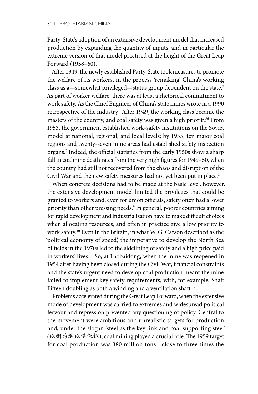Party-State's adoption of an extensive development model that increased production by expanding the quantity of inputs, and in particular the extreme version of that model practised at the height of the Great Leap Forward (1958–60).

After 1949, the newly established Party-State took measures to promote the welfare of its workers, in the process 'remaking' China's working class as a—somewhat privileged—status group dependent on the state.<sup>5</sup> As part of worker welfare, there was at least a rhetorical commitment to work safety. As the Chief Engineer of China's state mines wrote in a 1990 retrospective of the industry: 'After 1949, the working class became the masters of the country, and coal safety was given a high priority.'6 From 1953, the government established work-safety institutions on the Soviet model at national, regional, and local levels; by 1955, ten major coal regions and twenty-seven mine areas had established safety inspection organs.7 Indeed, the official statistics from the early 1950s show a sharp fall in coalmine death rates from the very high figures for 1949–50, when the country had still not recovered from the chaos and disruption of the Civil War and the new safety measures had not yet been put in place.<sup>8</sup>

When concrete decisions had to be made at the basic level, however, the extensive development model limited the privileges that could be granted to workers and, even for union officials, safety often had a lower priority than other pressing needs.9 In general, poorer countries aiming for rapid development and industrialisation have to make difficult choices when allocating resources, and often in practice give a low priority to work safety.10 Even in the Britain, in what W. G. Carson described as the 'political economy of speed', the imperative to develop the North Sea oilfields in the 1970s led to the sidelining of safety and a high price paid in workers' lives.11 So, at Laobaidong, when the mine was reopened in 1954 after having been closed during the Civil War, financial constraints and the state's urgent need to develop coal production meant the mine failed to implement key safety requirements, with, for example, Shaft Fifteen doubling as both a winding and a ventilation shaft.<sup>12</sup>

Problems accelerated during the Great Leap Forward, when the extensive mode of development was carried to extremes and widespread political fervour and repression prevented any questioning of policy. Central to the movement were ambitious and unrealistic targets for production and, under the slogan 'steel as the key link and coal supporting steel' (以钢为纲以煤保钢), coal mining played a crucial role. The 1959 target for coal production was 380 million tons—close to three times the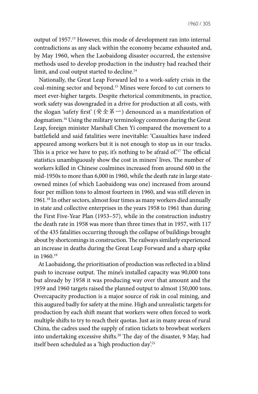output of 1957.13 However, this mode of development ran into internal contradictions as any slack within the economy became exhausted and, by May 1960, when the Laobaidong disaster occurred, the extensive methods used to develop production in the industry had reached their limit, and coal output started to decline.<sup>14</sup>

Nationally, the Great Leap Forward led to a work-safety crisis in the coal-mining sector and beyond.15 Mines were forced to cut corners to meet ever-higher targets. Despite rhetorical commitments, in practice, work safety was downgraded in a drive for production at all costs, with the slogan 'safety first' (安全第一) denounced as a manifestation of dogmatism.16 Using the military terminology common during the Great Leap, foreign minister Marshall Chen Yi compared the movement to a battlefield and said fatalities were inevitable: 'Casualties have indeed appeared among workers but it is not enough to stop us in our tracks. This is a price we have to pay, it's nothing to be afraid of.<sup>'17</sup> The official statistics unambiguously show the cost in miners' lives. The number of workers killed in Chinese coalmines increased from around 600 in the mid-1950s to more than 6,000 in 1960, while the death rate in large stateowned mines (of which Laobaidong was one) increased from around four per million tons to almost fourteen in 1960, and was still eleven in 1961.18 In other sectors, almost four times as many workers died annually in state and collective enterprises in the years 1958 to 1961 than during the First Five-Year Plan (1953–57), while in the construction industry the death rate in 1958 was more than three times that in 1957, with 117 of the 435 fatalities occurring through the collapse of buildings brought about by shortcomings in construction. The railways similarly experienced an increase in deaths during the Great Leap Forward and a sharp spike in 1960.19

At Laobaidong, the prioritisation of production was reflected in a blind push to increase output. The mine's installed capacity was 90,000 tons but already by 1958 it was producing way over that amount and the 1959 and 1960 targets raised the planned output to almost 150,000 tons. Overcapacity production is a major source of risk in coal mining, and this augured badly for safety at the mine. High and unrealistic targets for production by each shift meant that workers were often forced to work multiple shifts to try to reach their quotas. Just as in many areas of rural China, the cadres used the supply of ration tickets to browbeat workers into undertaking excessive shifts.20 The day of the disaster, 9 May, had itself been scheduled as a 'high production day'.<sup>21</sup>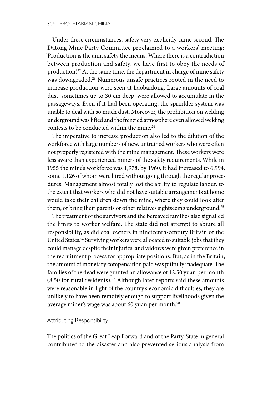Under these circumstances, safety very explicitly came second. The Datong Mine Party Committee proclaimed to a workers' meeting: 'Production is the aim, safety the means. Where there is a contradiction between production and safety, we have first to obey the needs of production.'22 At the same time, the department in charge of mine safety was downgraded.23 Numerous unsafe practices rooted in the need to increase production were seen at Laobaidong. Large amounts of coal dust, sometimes up to 30 cm deep, were allowed to accumulate in the passageways. Even if it had been operating, the sprinkler system was unable to deal with so much dust. Moreover, the prohibition on welding underground was lifted and the frenzied atmosphere even allowed welding contests to be conducted within the mine.<sup>24</sup>

The imperative to increase production also led to the dilution of the workforce with large numbers of new, untrained workers who were often not properly registered with the mine management. These workers were less aware than experienced miners of the safety requirements. While in 1955 the mine's workforce was 1,978, by 1960, it had increased to 6,994, some 1,126 of whom were hired without going through the regular procedures. Management almost totally lost the ability to regulate labour, to the extent that workers who did not have suitable arrangements at home would take their children down the mine, where they could look after them, or bring their parents or other relatives sightseeing underground.<sup>25</sup>

The treatment of the survivors and the bereaved families also signalled the limits to worker welfare. The state did not attempt to abjure all responsibility, as did coal owners in nineteenth-century Britain or the United States.<sup>26</sup> Surviving workers were allocated to suitable jobs that they could manage despite their injuries, and widows were given preference in the recruitment process for appropriate positions. But, as in the Britain, the amount of monetary compensation paid was pitifully inadequate. The families of the dead were granted an allowance of 12.50 yuan per month  $(8.50$  for rural residents).<sup>27</sup> Although later reports said these amounts were reasonable in light of the country's economic difficulties, they are unlikely to have been remotely enough to support livelihoods given the average miner's wage was about 60 yuan per month.28

#### Attributing Responsibility

The politics of the Great Leap Forward and of the Party-State in general contributed to the disaster and also prevented serious analysis from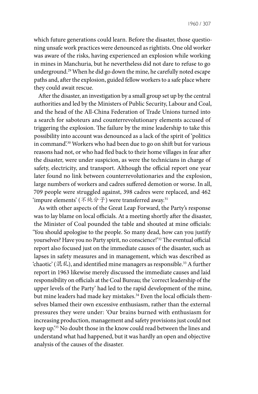which future generations could learn. Before the disaster, those questioning unsafe work practices were denounced as rightists. One old worker was aware of the risks, having experienced an explosion while working in mines in Manchuria, but he nevertheless did not dare to refuse to go underground.29 When he did go down the mine, he carefully noted escape paths and, after the explosion, guided fellow workers to a safe place where they could await rescue.

After the disaster, an investigation by a small group set up by the central authorities and led by the Ministers of Public Security, Labour and Coal, and the head of the All-China Federation of Trade Unions turned into a search for saboteurs and counterrevolutionary elements accused of triggering the explosion. The failure by the mine leadership to take this possibility into account was denounced as a lack of the spirit of 'politics in command'.30 Workers who had been due to go on shift but for various reasons had not, or who had fled back to their home villages in fear after the disaster, were under suspicion, as were the technicians in charge of safety, electricity, and transport. Although the official report one year later found no link between counterrevolutionaries and the explosion, large numbers of workers and cadres suffered demotion or worse. In all, 709 people were struggled against, 398 cadres were replaced, and 462 'impure elements' (不纯分子) were transferred away.<sup>31</sup>

As with other aspects of the Great Leap Forward, the Party's response was to lay blame on local officials. At a meeting shortly after the disaster, the Minister of Coal pounded the table and shouted at mine officials: 'You should apologise to the people. So many dead, how can you justify yourselves? Have you no Party spirit, no conscience!'32 The eventual official report also focused just on the immediate causes of the disaster, such as lapses in safety measures and in management, which was described as 'chaotic' (混乱), and identified mine managers as responsible.33 A further report in 1963 likewise merely discussed the immediate causes and laid responsibility on officials at the Coal Bureau; the 'correct leadership of the upper levels of the Party' had led to the rapid development of the mine, but mine leaders had made key mistakes.<sup>34</sup> Even the local officials themselves blamed their own excessive enthusiasm, rather than the external pressures they were under: 'Our brains burned with enthusiasm for increasing production, management and safety provisions just could not keep up.'35 No doubt those in the know could read between the lines and understand what had happened, but it was hardly an open and objective analysis of the causes of the disaster.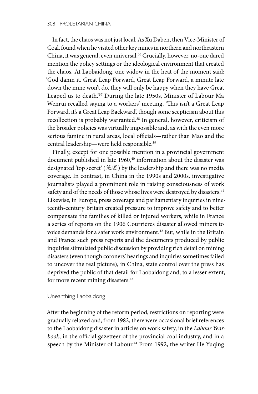In fact, the chaos was not just local. As Xu Daben, then Vice-Minister of Coal, found when he visited other key mines in northern and northeastern China, it was general, even universal.<sup>36</sup> Crucially, however, no-one dared mention the policy settings or the ideological environment that created the chaos. At Laobaidong, one widow in the heat of the moment said: 'God damn it. Great Leap Forward, Great Leap Forward, a minute late down the mine won't do, they will only be happy when they have Great Leaped us to death.'37 During the late 1950s, Minister of Labour Ma Wenrui recalled saying to a workers' meeting, 'This isn't a Great Leap Forward, it's a Great Leap Backward', though some scepticism about this recollection is probably warranted.<sup>38</sup> In general, however, criticism of the broader policies was virtually impossible and, as with the even more serious famine in rural areas, local officials—rather than Mao and the central leadership—were held responsible.39

Finally, except for one possible mention in a provincial government document published in late 1960,<sup>40</sup> information about the disaster was designated 'top secret' (绝密) by the leadership and there was no media coverage. In contrast, in China in the 1990s and 2000s, investigative journalists played a prominent role in raising consciousness of work safety and of the needs of those whose lives were destroyed by disasters.<sup>41</sup> Likewise, in Europe, press coverage and parliamentary inquiries in nineteenth-century Britain created pressure to improve safety and to better compensate the families of killed or injured workers, while in France a series of reports on the 1906 Courrières disaster allowed miners to voice demands for a safer work environment.<sup>42</sup> But, while in the Britain and France such press reports and the documents produced by public inquiries stimulated public discussion by providing rich detail on mining disasters (even though coroners' hearings and inquiries sometimes failed to uncover the real picture), in China, state control over the press has deprived the public of that detail for Laobaidong and, to a lesser extent, for more recent mining disasters.<sup>43</sup>

### Unearthing Laobaidong

After the beginning of the reform period, restrictions on reporting were gradually relaxed and, from 1982, there were occasional brief references to the Laobaidong disaster in articles on work safety, in the *Labour Yearbook*, in the official gazetteer of the provincial coal industry, and in a speech by the Minister of Labour.<sup>44</sup> From 1992, the writer He Yuqing